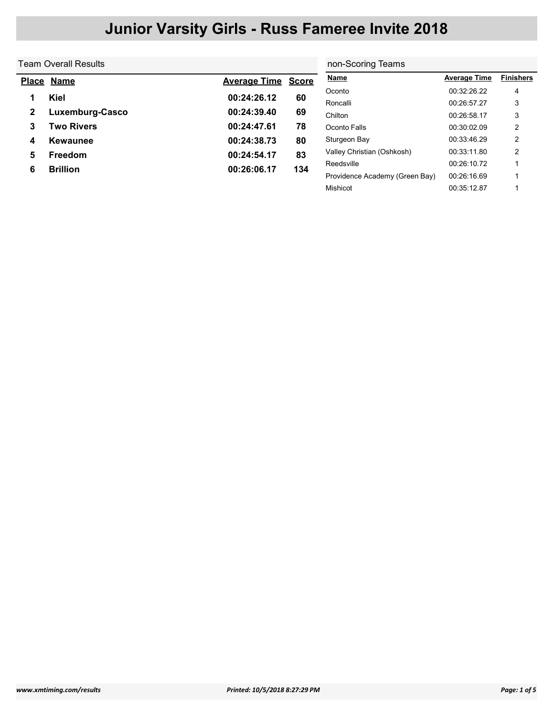|   | Team Overall Results | non-Scoring Teams   |              |                                |                     |                  |
|---|----------------------|---------------------|--------------|--------------------------------|---------------------|------------------|
|   | Place Name           | <b>Average Time</b> | <b>Score</b> | <b>Name</b>                    | <b>Average Time</b> | <b>Finishers</b> |
|   | <b>Kiel</b>          | 00:24:26.12         | 60           | Oconto                         | 00:32:26.22         | 4                |
|   |                      |                     |              | Roncalli                       | 00:26:57.27         | 3                |
| 2 | Luxemburg-Casco      | 00:24:39.40         | 69           | Chilton                        | 00:26:58.17         | 3                |
| 3 | Two Rivers           | 00:24:47.61         | 78           | Oconto Falls                   | 00:30:02.09         | 2                |
| 4 | Kewaunee             | 00:24:38.73         | 80           | Sturgeon Bay                   | 00:33:46.29         | 2                |
| 5 | <b>Freedom</b>       | 00:24:54.17         | 83           | Valley Christian (Oshkosh)     | 00:33:11.80         | 2                |
| 6 | <b>Brillion</b>      | 00:26:06.17         | 134          | Reedsville                     | 00:26:10.72         |                  |
|   |                      |                     |              | Providence Academy (Green Bay) | 00:26:16.69         |                  |

Mishicot 00:35:12.87 1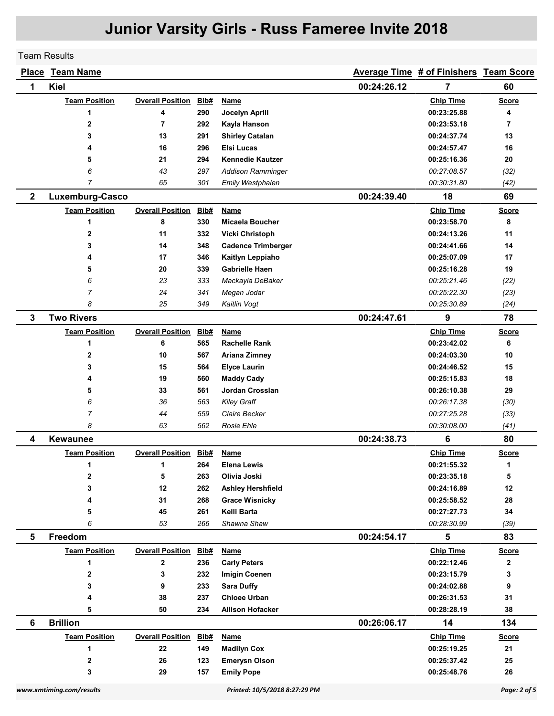Team Results

|              | <b>Place Team Name</b> |                              |      |                           |             | Average Time # of Finishers Team Score |                |
|--------------|------------------------|------------------------------|------|---------------------------|-------------|----------------------------------------|----------------|
| 1            | <b>Kiel</b>            |                              |      |                           | 00:24:26.12 | 7                                      | 60             |
|              | <b>Team Position</b>   | <b>Overall Position</b>      | Bib# | <b>Name</b>               |             | <b>Chip Time</b>                       | <b>Score</b>   |
|              | 1                      | 4                            | 290  | Jocelyn Aprill            |             | 00:23:25.88                            | 4              |
|              | $\overline{2}$         | $\overline{7}$               | 292  | Kayla Hanson              |             | 00:23:53.18                            | $\overline{7}$ |
|              | 3                      | 13                           | 291  | <b>Shirley Catalan</b>    |             | 00:24:37.74                            | 13             |
|              | 4                      | 16                           | 296  | Elsi Lucas                |             | 00:24:57.47                            | 16             |
|              | 5                      | 21                           | 294  | <b>Kennedie Kautzer</b>   |             | 00:25:16.36                            | 20             |
|              | 6                      | 43                           | 297  | <b>Addison Ramminger</b>  |             | 00:27:08.57                            | (32)           |
|              | $\overline{7}$         | 65                           | 301  | Emily Westphalen          |             | 00:30:31.80                            | (42)           |
| $\mathbf{2}$ | Luxemburg-Casco        |                              |      |                           | 00:24:39.40 | 18                                     | 69             |
|              | <b>Team Position</b>   | <b>Overall Position</b>      | Bib# | Name                      |             | <b>Chip Time</b>                       | <b>Score</b>   |
|              | 1                      | 8                            | 330  | Micaela Boucher           |             | 00:23:58.70                            | 8              |
|              | $\mathbf{2}$           | 11                           | 332  | <b>Vicki Christoph</b>    |             | 00:24:13.26                            | 11             |
|              | 3                      | 14                           | 348  | <b>Cadence Trimberger</b> |             | 00:24:41.66                            | 14             |
|              | 4                      | 17                           | 346  | Kaitlyn Leppiaho          |             | 00:25:07.09                            | 17             |
|              | 5                      | 20                           | 339  | <b>Gabrielle Haen</b>     |             | 00:25:16.28                            | 19             |
|              | 6                      | 23                           | 333  | Mackayla DeBaker          |             | 00:25:21.46                            | (22)           |
|              | 7                      | 24                           | 341  | Megan Jodar               |             | 00:25:22.30                            | (23)           |
|              | 8                      | 25                           | 349  | Kaitlin Vogt              |             | 00:25:30.89                            | (24)           |
| 3            | <b>Two Rivers</b>      |                              |      |                           | 00:24:47.61 | 9                                      | 78             |
|              | <b>Team Position</b>   | <b>Overall Position</b>      | Bib# | Name                      |             | <b>Chip Time</b>                       | <b>Score</b>   |
|              | 1                      | 6                            | 565  | <b>Rachelle Rank</b>      |             | 00:23:42.02                            | 6              |
|              | 2                      | 10                           | 567  | Ariana Zimney             |             | 00:24:03.30                            | 10             |
|              | 3                      | 15                           | 564  | <b>Elyce Laurin</b>       |             | 00:24:46.52                            | 15             |
|              | 4                      | 19                           | 560  | <b>Maddy Cady</b>         |             | 00:25:15.83                            | 18             |
|              | 5                      | 33                           | 561  | Jordan Crosslan           |             | 00:26:10.38                            | 29             |
|              | 6                      | 36                           | 563  | <b>Kiley Graff</b>        |             | 00:26:17.38                            | (30)           |
|              | 7                      | 44                           | 559  | Claire Becker             |             | 00:27:25.28                            | (33)           |
|              | 8                      | 63                           | 562  | <b>Rosie Ehle</b>         |             | 00:30:08.00                            | (41)           |
| 4            | <b>Kewaunee</b>        |                              |      |                           | 00:24:38.73 | 6                                      | 80             |
|              | <b>Team Position</b>   | <b>Overall Position</b>      | Bib# | <b>Name</b>               |             | <b>Chip Time</b>                       | <b>Score</b>   |
|              | 1                      | 1                            | 264  | <b>Elena Lewis</b>        |             | 00:21:55.32                            | 1              |
|              | $\mathbf{2}$           | 5                            | 263  | Olivia Joski              |             | 00:23:35.18                            | 5              |
|              | 3                      | 12                           | 262  | Ashley Hershfield         |             | 00:24:16.89                            | 12             |
|              | 4                      | 31                           | 268  | <b>Grace Wisnicky</b>     |             | 00:25:58.52                            | 28             |
|              | 5                      | 45                           | 261  | Kelli Barta               |             | 00:27:27.73                            | 34             |
|              | 6                      | 53                           | 266  | Shawna Shaw               |             | 00:28:30.99                            | (39)           |
| 5            | Freedom                |                              |      |                           | 00:24:54.17 | 5                                      | 83             |
|              | <b>Team Position</b>   | <b>Overall Position Bib#</b> |      | <b>Name</b>               |             | <b>Chip Time</b>                       | <b>Score</b>   |
|              | 1                      | $\mathbf 2$                  | 236  | <b>Carly Peters</b>       |             | 00:22:12.46                            | $\mathbf{2}$   |
|              | $\mathbf{2}$           | 3                            | 232  | <b>Imigin Coenen</b>      |             | 00:23:15.79                            | 3              |
|              | 3                      | 9                            | 233  | <b>Sara Duffy</b>         |             | 00:24:02.88                            | 9              |
|              | 4                      | 38                           | 237  | <b>Chloee Urban</b>       |             | 00:26:31.53                            | 31             |
|              | 5                      | 50                           | 234  | <b>Allison Hofacker</b>   |             | 00:28:28.19                            | 38             |
| 6            | <b>Brillion</b>        |                              |      |                           | 00:26:06.17 | 14                                     | 134            |
|              | <b>Team Position</b>   | <b>Overall Position</b>      | Bib# | <b>Name</b>               |             | <b>Chip Time</b>                       | <b>Score</b>   |
|              | 1                      | 22                           | 149  | <b>Madilyn Cox</b>        |             | 00:25:19.25                            | 21             |
|              | $\mathbf{2}$           | 26                           | 123  | <b>Emerysn Olson</b>      |             | 00:25:37.42                            | 25             |
|              | 3                      | 29                           | 157  | <b>Emily Pope</b>         |             | 00:25:48.76                            | 26             |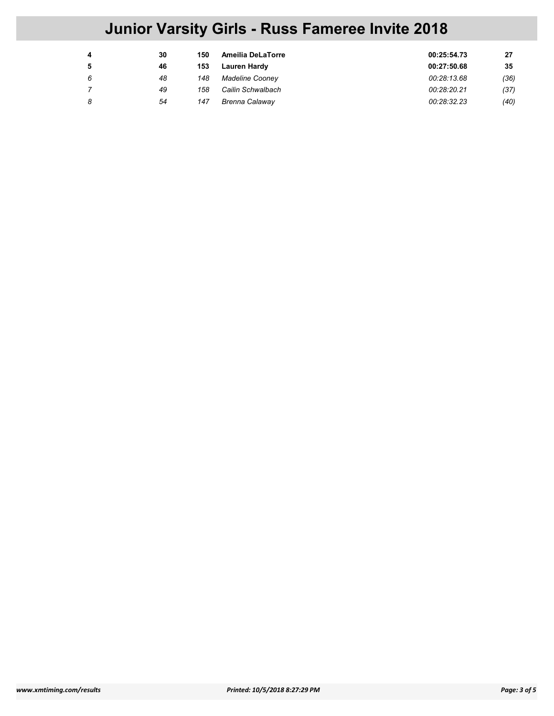| 4 | 30 | 150 | Ameilia DeLaTorre     | 00:25:54.73 | 27   |
|---|----|-----|-----------------------|-------------|------|
| 5 | 46 | 153 | <b>Lauren Hardy</b>   | 00:27:50.68 | 35   |
| 6 | 48 | 148 | Madeline Cooney       | 00:28:13.68 | (36) |
|   | 49 | 158 | Cailin Schwalbach     | 00:28:20.21 | (37) |
| 8 | 54 | 147 | <b>Brenna Calaway</b> | 00:28:32.23 | (40) |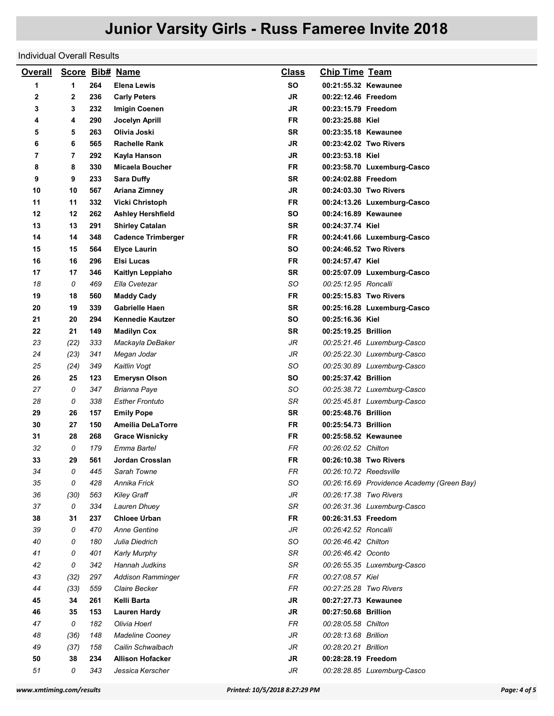## Individual Overall Results

| <b>Overall</b> |      |     | Score Bib# Name           | <b>Class</b> | <b>Chip Time Team</b>                      |
|----------------|------|-----|---------------------------|--------------|--------------------------------------------|
| 1              | 1    | 264 | <b>Elena Lewis</b>        | <b>SO</b>    | 00:21:55.32 Kewaunee                       |
| 2              | 2    | 236 | <b>Carly Peters</b>       | JR           | 00:22:12.46 Freedom                        |
| 3              | 3    | 232 | <b>Imigin Coenen</b>      | <b>JR</b>    | 00:23:15.79 Freedom                        |
| 4              | 4    | 290 | Jocelyn Aprill            | FR           | 00:23:25.88 Kiel                           |
| 5              | 5    | 263 | Olivia Joski              | SR           | 00:23:35.18 Kewaunee                       |
| 6              | 6    | 565 | <b>Rachelle Rank</b>      | <b>JR</b>    | 00:23:42.02 Two Rivers                     |
| 7              | 7    | 292 | Kayla Hanson              | JR           | 00:23:53.18 Kiel                           |
| 8              | 8    | 330 | Micaela Boucher           | FR           | 00:23:58.70 Luxemburg-Casco                |
| 9              | 9    | 233 | <b>Sara Duffy</b>         | <b>SR</b>    | 00:24:02.88 Freedom                        |
| 10             | 10   | 567 | Ariana Zimney             | JR           | 00:24:03.30 Two Rivers                     |
| 11             | 11   | 332 | Vicki Christoph           | FR           | 00:24:13.26 Luxemburg-Casco                |
| 12             | 12   | 262 | <b>Ashley Hershfield</b>  | SO           | 00:24:16.89 Kewaunee                       |
| 13             | 13   | 291 | <b>Shirley Catalan</b>    | SR           | 00:24:37.74 Kiel                           |
| 14             | 14   | 348 | <b>Cadence Trimberger</b> | <b>FR</b>    | 00:24:41.66 Luxemburg-Casco                |
| 15             | 15   | 564 | <b>Elyce Laurin</b>       | SO           | 00:24:46.52 Two Rivers                     |
| 16             | 16   | 296 | Elsi Lucas                | <b>FR</b>    | 00:24:57.47 Kiel                           |
| 17             | 17   | 346 | Kaitlyn Leppiaho          | SR           | 00:25:07.09 Luxemburg-Casco                |
| 18             | 0    | 469 | Ella Cvetezar             | SO           | 00:25:12.95 Roncalli                       |
| 19             | 18   | 560 | <b>Maddy Cady</b>         | <b>FR</b>    | 00:25:15.83 Two Rivers                     |
| 20             | 19   | 339 | <b>Gabrielle Haen</b>     | <b>SR</b>    | 00:25:16.28 Luxemburg-Casco                |
| 21             | 20   | 294 | <b>Kennedie Kautzer</b>   | SO           | 00:25:16.36 Kiel                           |
| 22             | 21   | 149 | <b>Madilyn Cox</b>        | SR           | 00:25:19.25 Brillion                       |
| 23             | (22) | 333 | Mackayla DeBaker          | JR           | 00:25:21.46 Luxemburg-Casco                |
| 24             | (23) | 341 | Megan Jodar               | JR           | 00:25:22.30 Luxemburg-Casco                |
| 25             | (24) | 349 | Kaitlin Vogt              | SO           | 00:25:30.89 Luxemburg-Casco                |
| 26             | 25   | 123 | <b>Emerysn Olson</b>      | SO           | 00:25:37.42 Brillion                       |
| 27             | 0    | 347 | Brianna Paye              | SO           | 00:25:38.72 Luxemburg-Casco                |
| 28             | 0    | 338 | Esther Frontuto           | SR           | 00:25:45.81 Luxemburg-Casco                |
| 29             | 26   | 157 | <b>Emily Pope</b>         | SR           | 00:25:48.76 Brillion                       |
| 30             | 27   | 150 | <b>Ameilia DeLaTorre</b>  | FR           | 00:25:54.73 Brillion                       |
| 31             | 28   | 268 | <b>Grace Wisnicky</b>     | FR           | 00:25:58.52 Kewaunee                       |
| 32             | 0    | 179 | Emma Bartel               | FR           | 00:26:02.52 Chilton                        |
| 33             | 29   | 561 | Jordan Crosslan           | FR           | 00:26:10.38 Two Rivers                     |
| 34             | 0    | 445 | Sarah Towne               | ${\sf FR}$   | 00:26:10.72 Reedsville                     |
| 35             | 0    | 428 | Annika Frick              | SO           | 00:26:16.69 Providence Academy (Green Bay) |
| 36             | (30) | 563 | <b>Kiley Graff</b>        | JR           | 00:26:17.38 Two Rivers                     |
| 37             | 0    | 334 | Lauren Dhuey              | SR           | 00:26:31.36 Luxemburg-Casco                |
| 38             | 31   | 237 | <b>Chloee Urban</b>       | <b>FR</b>    | 00:26:31.53 Freedom                        |
| 39             | 0    | 470 | <b>Anne Gentine</b>       | JR           | 00:26:42.52 Roncalli                       |
| 40             | 0    | 180 | Julia Diedrich            | SO           | 00:26:46.42 Chilton                        |
| 41             | 0    | 401 | <b>Karly Murphy</b>       | SR           | 00:26:46.42 Oconto                         |
| 42             | 0    | 342 | Hannah Judkins            | SR           | 00:26:55.35 Luxemburg-Casco                |
| 43             | (32) | 297 | <b>Addison Ramminger</b>  | FR           | 00:27:08.57 Kiel                           |
| 44             | (33) | 559 | Claire Becker             | FR.          | 00:27:25.28 Two Rivers                     |
| 45             | 34   | 261 | Kelli Barta               | JR           | 00:27:27.73 Kewaunee                       |
| 46             | 35   | 153 | Lauren Hardy              | <b>JR</b>    | 00:27:50.68 Brillion                       |
| 47             | 0    | 182 | Olivia Hoerl              | FR           | 00:28:05.58 Chilton                        |
| 48             | (36) | 148 | Madeline Cooney           | JR           | 00:28:13.68 Brillion                       |
| 49             | (37) | 158 | Cailin Schwalbach         | JR           | 00:28:20.21 Brillion                       |
| 50             | 38   | 234 | <b>Allison Hofacker</b>   | <b>JR</b>    | 00:28:28.19 Freedom                        |
| 51             | 0    | 343 | Jessica Kerscher          | JR           | 00:28:28.85 Luxemburg-Casco                |